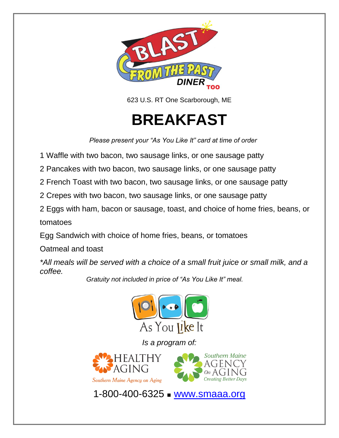

623 U.S. RT One Scarborough, ME

**BREAKFAST** 

*Please present your "As You Like It" card at time of order*

1 Waffle with two bacon, two sausage links, or one sausage patty

2 Pancakes with two bacon, two sausage links, or one sausage patty

2 French Toast with two bacon, two sausage links, or one sausage patty

2 Crepes with two bacon, two sausage links, or one sausage patty

2 Eggs with ham, bacon or sausage, toast, and choice of home fries, beans, or tomatoes

Egg Sandwich with choice of home fries, beans, or tomatoes

Oatmeal and toast

*\*All meals will be served with a choice of a small fruit juice or small milk, and a coffee.*

*Gratuity not included in price of "As You Like It" meal.*



*Is a program of:*